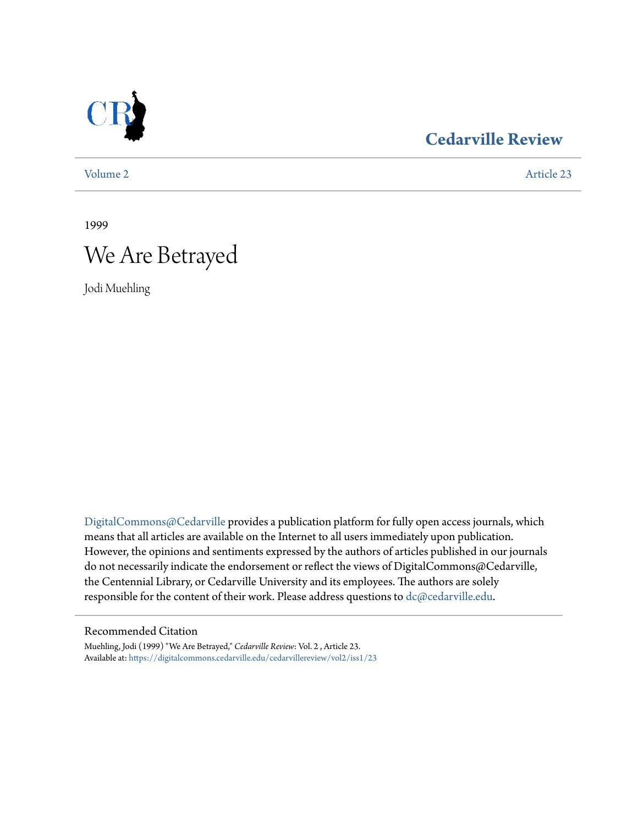

# **[Cedarville Review](https://digitalcommons.cedarville.edu/cedarvillereview?utm_source=digitalcommons.cedarville.edu%2Fcedarvillereview%2Fvol2%2Fiss1%2F23&utm_medium=PDF&utm_campaign=PDFCoverPages)**

[Volume 2](https://digitalcommons.cedarville.edu/cedarvillereview/vol2?utm_source=digitalcommons.cedarville.edu%2Fcedarvillereview%2Fvol2%2Fiss1%2F23&utm_medium=PDF&utm_campaign=PDFCoverPages) [Article 23](https://digitalcommons.cedarville.edu/cedarvillereview/vol2/iss1/23?utm_source=digitalcommons.cedarville.edu%2Fcedarvillereview%2Fvol2%2Fiss1%2F23&utm_medium=PDF&utm_campaign=PDFCoverPages)

1999

# We Are Betrayed

Jodi Muehling

[DigitalCommons@Cedarville](http://digitalcommons.cedarville.edu) provides a publication platform for fully open access journals, which means that all articles are available on the Internet to all users immediately upon publication. However, the opinions and sentiments expressed by the authors of articles published in our journals do not necessarily indicate the endorsement or reflect the views of DigitalCommons@Cedarville, the Centennial Library, or Cedarville University and its employees. The authors are solely responsible for the content of their work. Please address questions to [dc@cedarville.edu](mailto:dc@cedarville.edu).

#### Recommended Citation

Muehling, Jodi (1999) "We Are Betrayed," *Cedarville Review*: Vol. 2 , Article 23. Available at: [https://digitalcommons.cedarville.edu/cedarvillereview/vol2/iss1/23](https://digitalcommons.cedarville.edu/cedarvillereview/vol2/iss1/23?utm_source=digitalcommons.cedarville.edu%2Fcedarvillereview%2Fvol2%2Fiss1%2F23&utm_medium=PDF&utm_campaign=PDFCoverPages)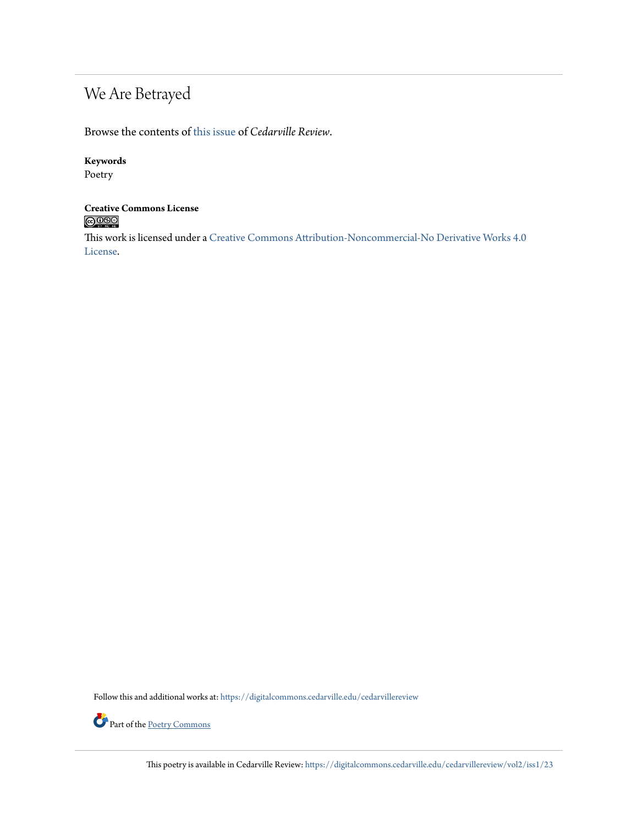# We Are Betrayed

Browse the contents of [this issue](https://digitalcommons.cedarville.edu/cedarvillereview/vol2/iss1) of *Cedarville Review*.

#### **Keywords**

Poetry

#### **Creative Commons License**  $\bigcirc$  000

This work is licensed under a [Creative Commons Attribution-Noncommercial-No Derivative Works 4.0](http://creativecommons.org/licenses/by-nc-nd/4.0/) [License.](http://creativecommons.org/licenses/by-nc-nd/4.0/)

Follow this and additional works at: [https://digitalcommons.cedarville.edu/cedarvillereview](https://digitalcommons.cedarville.edu/cedarvillereview?utm_source=digitalcommons.cedarville.edu%2Fcedarvillereview%2Fvol2%2Fiss1%2F23&utm_medium=PDF&utm_campaign=PDFCoverPages)



This poetry is available in Cedarville Review: [https://digitalcommons.cedarville.edu/cedarvillereview/vol2/iss1/23](https://digitalcommons.cedarville.edu/cedarvillereview/vol2/iss1/23?utm_source=digitalcommons.cedarville.edu%2Fcedarvillereview%2Fvol2%2Fiss1%2F23&utm_medium=PDF&utm_campaign=PDFCoverPages)